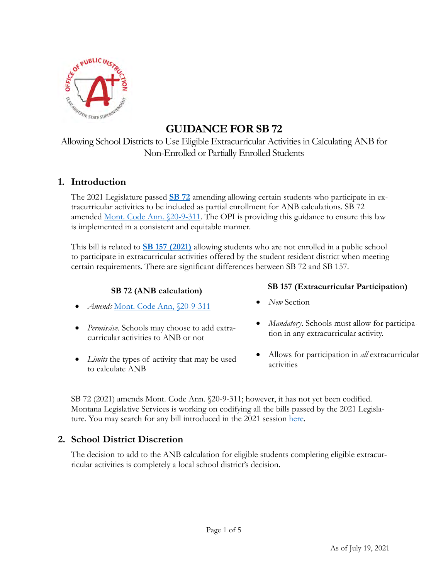

# **GUIDANCE FOR SB 72**

Allowing School Districts to Use Eligible Extracurricular Activities in Calculating ANB for Non-Enrolled or Partially Enrolled Students

# **1. Introduction**

The 2021 Legislature passed **SB 72** amending allowing certain students who participate in extracurricular activities to be included as partial enrollment for ANB calculations. SB 72 amended <u>Mont. Code Ann. §20-9-311</u>. The OPI is providing this guidance to ensure this law is implemented in a consistent and equitable manner.

This bill is related to **SB 157 (2021)** allowing students who are not enrolled in a public school to participate in extracurricular activities offered by the student resident district when meeting certain requirements. There are significant differences between SB 72 and SB 157.

- *Amends* Mont. Code Ann, §20-9-311 *New* Section
- *Permissive*. Schools may choose to add extracurricular activities to ANB or not
- *Limits* the types of activity that may be used to calculate ANB

# **SB 72 (ANB calculation) SB 157 (Extracurricular Participation)**

- 
- *Mandatory*. Schools must allow for participation in any extracurricular activity.
- Allows for participation in *all* extracurricular activities

SB 72 (2021) amends Mont. Code Ann. §20-9-311; however, it has not yet been codified. Montana Legislative Services is working on codifying all the bills passed by the 2021 Legislature. You may search for any bill introduced in the 2021 session here.

# **2. School District Discretion**

The decision to add to the ANB calculation for eligible students completing eligible extracurricular activities is completely a local school district's decision.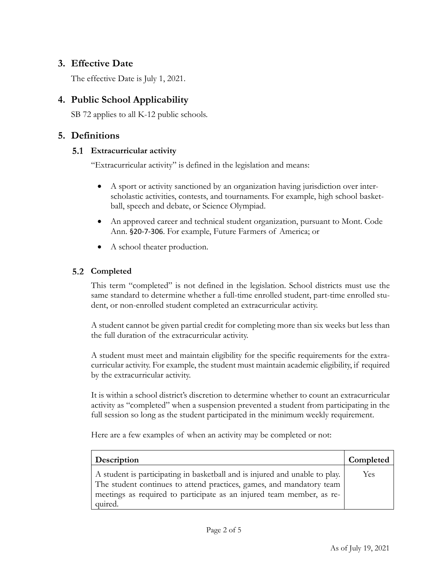# **3. Effective Date**

The effective Date is July 1, 2021.

# **4. Public School Applicability**

SB 72 applies to all K-12 public schools.

# **5. Definitions**

### **Extracurricular activity**

"Extracurricular activity" is defined in the legislation and means:

- A sport or activity sanctioned by an organization having jurisdiction over interscholastic activities, contests, and tournaments. For example, high school basketball, speech and debate, or Science Olympiad.
- An approved career and technical student organization, pursuant to Mont. Code Ann. §20‐7‐306. For example, Future Farmers of America; or
- A school theater production.

# **Completed**

This term "completed" is not defined in the legislation. School districts must use the same standard to determine whether a full-time enrolled student, part-time enrolled student, or non-enrolled student completed an extracurricular activity.

A student cannot be given partial credit for completing more than six weeks but less than the full duration of the extracurricular activity.

A student must meet and maintain eligibility for the specific requirements for the extracurricular activity. For example, the student must maintain academic eligibility, if required by the extracurricular activity.

It is within a school district's discretion to determine whether to count an extracurricular activity as "completed" when a suspension prevented a student from participating in the full session so long as the student participated in the minimum weekly requirement.

Here are a few examples of when an activity may be completed or not:

| Description                                                                 | Completed  |
|-----------------------------------------------------------------------------|------------|
| A student is participating in basketball and is injured and unable to play. | <b>Yes</b> |
| The student continues to attend practices, games, and mandatory team        |            |
| meetings as required to participate as an injured team member, as re-       |            |
| quired.                                                                     |            |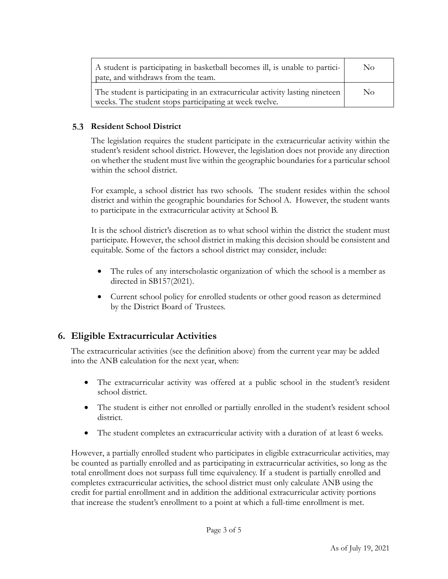| A student is participating in basketball becomes ill, is unable to partici-<br>pate, and withdraws from the team.                      | $\rm No$ |
|----------------------------------------------------------------------------------------------------------------------------------------|----------|
| The student is participating in an extracurricular activity lasting nineteen<br>weeks. The student stops participating at week twelve. | $\rm No$ |

#### **Resident School District**

The legislation requires the student participate in the extracurricular activity within the student's resident school district. However, the legislation does not provide any direction on whether the student must live within the geographic boundaries for a particular school within the school district.

For example, a school district has two schools. The student resides within the school district and within the geographic boundaries for School A. However, the student wants to participate in the extracurricular activity at School B.

It is the school district's discretion as to what school within the district the student must participate. However, the school district in making this decision should be consistent and equitable. Some of the factors a school district may consider, include:

- The rules of any interscholastic organization of which the school is a member as directed in SB157(2021).
- Current school policy for enrolled students or other good reason as determined by the District Board of Trustees.

# **6. Eligible Extracurricular Activities**

The extracurricular activities (see the definition above) from the current year may be added into the ANB calculation for the next year, when:

- The extracurricular activity was offered at a public school in the student's resident school district.
- The student is either not enrolled or partially enrolled in the student's resident school district.
- The student completes an extracurricular activity with a duration of at least 6 weeks.

However, a partially enrolled student who participates in eligible extracurricular activities, may be counted as partially enrolled and as participating in extracurricular activities, so long as the total enrollment does not surpass full time equivalency. If a student is partially enrolled and completes extracurricular activities, the school district must only calculate ANB using the credit for partial enrollment and in addition the additional extracurricular activity portions that increase the student's enrollment to a point at which a full-time enrollment is met.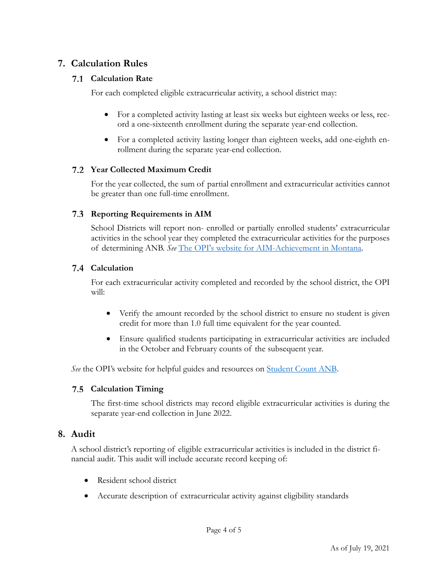# **7. Calculation Rules**

#### **Calculation Rate**

For each completed eligible extracurricular activity, a school district may:

- For a completed activity lasting at least six weeks but eighteen weeks or less, record a one-sixteenth enrollment during the separate year-end collection.
- For a completed activity lasting longer than eighteen weeks, add one-eighth enrollment during the separate year-end collection.

#### **Year Collected Maximum Credit**

For the year collected, the sum of partial enrollment and extracurricular activities cannot be greater than one full-time enrollment.

#### **Reporting Requirements in AIM**

School Districts will report non- enrolled or partially enrolled students' extracurricular activities in the school year they completed the extracurricular activities for the purposes of determining ANB. *See* The OPI's website for AIM-Achievement in Montana.

### **Calculation**

For each extracurricular activity completed and recorded by the school district, the OPI will:

- Verify the amount recorded by the school district to ensure no student is given credit for more than 1.0 full time equivalent for the year counted.
- Ensure qualified students participating in extracurricular activities are included in the October and February counts of the subsequent year.

*See* the OPI's website for helpful guides and resources on **Student Count ANB**.

#### **Calculation Timing**

The first-time school districts may record eligible extracurricular activities is during the separate year-end collection in June 2022.

# **8. Audit**

A school district's reporting of eligible extracurricular activities is included in the district financial audit. This audit will include accurate record keeping of:

- Resident school district
- Accurate description of extracurricular activity against eligibility standards